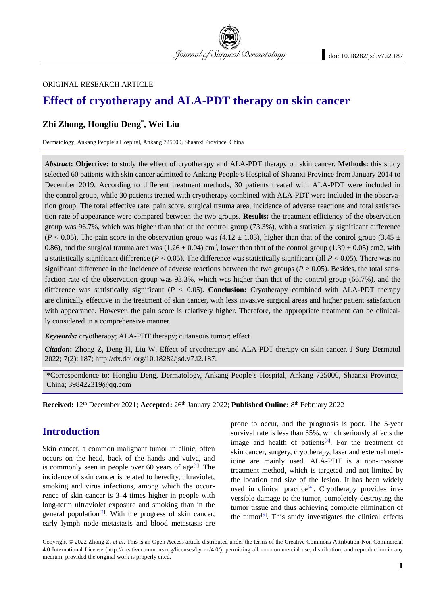

#### ORIGINAL RESEARCH ARTICLE

# **Effect of cryotherapy and ALA-PDT therapy on skin cancer**

# **Zhi Zhong, Hongliu Deng\*, Wei Liu**

Dermatology, Ankang People's Hospital, Ankang 725000, Shaanxi Province, China

*Abstract***: Objective:** to study the effect of cryotherapy and ALA-PDT therapy on skin cancer. **Methods:** this study selected 60 patients with skin cancer admitted to Ankang People's Hospital of Shaanxi Province from January 2014 to December 2019. According to different treatment methods, 30 patients treated with ALA-PDT were included in the control group, while 30 patients treated with cryotherapy combined with ALA-PDT were included in the observation group. The total effective rate, pain score, surgical trauma area, incidence of adverse reactions and total satisfaction rate of appearance were compared between the two groups. **Results:** the treatment efficiency of the observation group was 96.7%, which was higher than that of the control group (73.3%), with a statistically significant difference ( $P < 0.05$ ). The pain score in the observation group was (4.12  $\pm$  1.03), higher than that of the control group (3.45  $\pm$ 0.86), and the surgical trauma area was  $(1.26 \pm 0.04)$  cm<sup>2</sup>, lower than that of the control group  $(1.39 \pm 0.05)$  cm2, with a statistically significant difference (*P* < 0.05). The difference was statistically significant (all *P* < 0.05). There was no significant difference in the incidence of adverse reactions between the two groups  $(P > 0.05)$ . Besides, the total satisfaction rate of the observation group was 93.3%, which was higher than that of the control group (66.7%), and the difference was statistically significant (*P* < 0.05). **Conclusion:** Cryotherapy combined with ALA-PDT therapy are clinically effective in the treatment of skin cancer, with less invasive surgical areas and higher patient satisfaction with appearance. However, the pain score is relatively higher. Therefore, the appropriate treatment can be clinically considered in a comprehensive manner.

*Keywords:* cryotherapy; ALA-PDT therapy; cutaneous tumor; effect

*Citation***:** Zhong Z, Deng H, Liu W. Effect of cryotherapy and ALA-PDT therapy on skin cancer. J Surg Dermatol 2022; 7(2): 187; http://dx.doi.org/10.18282/jsd.v7.i2.187.

\*Correspondence to: Hongliu Deng, Dermatology, Ankang People's Hospital, Ankang 725000, Shaanxi Province, China; 398422319@qq.com

**Received:** 12th December 2021; **Accepted:** 26th January 2022; **Published Online:** 8th February 2022

# **Introduction**

Skin cancer, a common malignant tumor in clinic, often occurs on the head, back of the hands and vulva, and is commonly seen in people over 60 years of age<sup>[1]</sup>. The incidence of skin cancer is related to heredity, ultraviolet, smoking and virus infections, among which the occurrence of skin cancer is 3–4 times higher in people with long-term ultraviolet exposure and smoking than in the general population<sup>[2]</sup>. With the progress of skin cancer, early lymph node metastasis and blood metastasis are

prone to occur, and the prognosis is poor. The 5-year survival rate is less than 35%, which seriously affects the image and health of patients $[3]$ . For the treatment of skin cancer, surgery, cryotherapy, laser and external medicine are mainly used. ALA-PDT is a non-invasive treatment method, which is targeted and not limited by the location and size of the lesion. It has been widely used in clinical practice<sup>[4]</sup>. Cryotherapy provides irreversible damage to the tumor, completely destroying the tumor tissue and thus achieving complete elimination of the tumor<sup>[5]</sup>. This study investigates the clinical effects

Copyright © 2022 Zhong Z, *et al*. This is an Open Access article distributed under the terms of the Creative Commons Attribution-Non Commercial 4.0 International License (http://creativecommons.org/licenses/by-nc/4.0/), permitting all non-commercial use, distribution, and reproduction in any medium, provided the original work is properly cited.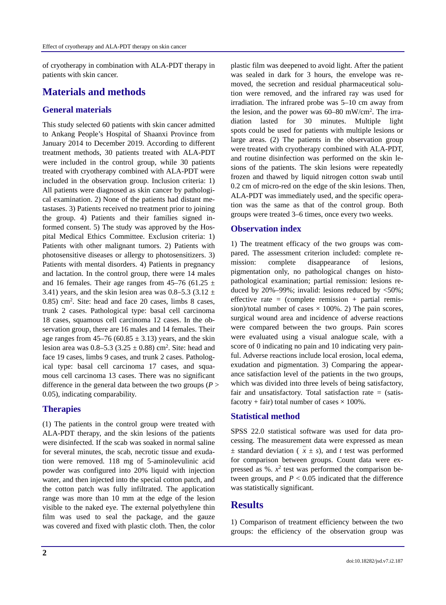of cryotherapy in combination with ALA-PDT therapy in patients with skin cancer.

## **Materials and methods**

#### **General materials**

This study selected 60 patients with skin cancer admitted to Ankang People's Hospital of Shaanxi Province from January 2014 to December 2019. According to different treatment methods, 30 patients treated with ALA-PDT were included in the control group, while 30 patients treated with cryotherapy combined with ALA-PDT were included in the observation group. Inclusion criteria: 1) All patients were diagnosed as skin cancer by pathological examination. 2) None of the patients had distant metastases. 3) Patients received no treatment prior to joining the group. 4) Patients and their families signed informed consent. 5) The study was approved by the Hospital Medical Ethics Committee. Exclusion criteria: 1) Patients with other malignant tumors. 2) Patients with photosensitive diseases or allergy to photosensitizers. 3) Patients with mental disorders. 4) Patients in pregnancy and lactation. In the control group, there were 14 males and 16 females. Their age ranges from 45–76 (61.25  $\pm$ 3.41) years, and the skin lesion area was  $0.8-5.3$  (3.12  $\pm$  $(0.85)$  cm<sup>2</sup>. Site: head and face 20 cases, limbs 8 cases, trunk 2 cases. Pathological type: basal cell carcinoma 18 cases, squamous cell carcinoma 12 cases. In the observation group, there are 16 males and 14 females. Their age ranges from  $45-76$  (60.85  $\pm$  3.13) years, and the skin lesion area was  $0.8 - 5.3$  (3.25  $\pm$  0.88) cm<sup>2</sup>. Site: head and face 19 cases, limbs 9 cases, and trunk 2 cases. Pathological type: basal cell carcinoma 17 cases, and squamous cell carcinoma 13 cases. There was no significant difference in the general data between the two groups (*P* > 0.05), indicating comparability.

#### **Therapies**

(1) The patients in the control group were treated with ALA-PDT therapy, and the skin lesions of the patients were disinfected. If the scab was soaked in normal saline for several minutes, the scab, necrotic tissue and exudation were removed. 118 mg of 5-aminolevulinic acid powder was configured into 20% liquid with injection water, and then injected into the special cotton patch, and the cotton patch was fully infiltrated. The application range was more than 10 mm at the edge of the lesion visible to the naked eye. The external polyethylene thin film was used to seal the package, and the gauze was covered and fixed with plastic cloth. Then, the color plastic film was deepened to avoid light. After the patient was sealed in dark for 3 hours, the envelope was removed, the secretion and residual pharmaceutical solution were removed, and the infrared ray was used for irradiation. The infrared probe was 5–10 cm away from the lesion, and the power was  $60-80$  mW/cm<sup>2</sup>. The irradiation lasted for 30 minutes. Multiple light spots could be used for patients with multiple lesions or large areas. (2) The patients in the observation group were treated with cryotherapy combined with ALA-PDT, and routine disinfection was performed on the skin lesions of the patients. The skin lesions were repeatedly frozen and thawed by liquid nitrogen cotton swab until 0.2 cm of micro-red on the edge of the skin lesions. Then, ALA-PDT was immediately used, and the specific operation was the same as that of the control group. Both groups were treated 3–6 times, once every two weeks.

#### **Observation index**

1) The treatment efficacy of the two groups was compared. The assessment criterion included: complete remission: complete disappearance of lesions, pigmentation only, no pathological changes on histopathological examination; partial remission: lesions reduced by  $20\% - 99\%$ ; invalid: lesions reduced by  $\langle 50\% \rangle$ ; effective rate = (complete remission + partial remission)/total number of cases  $\times$  100%. 2) The pain scores, surgical wound area and incidence of adverse reactions were compared between the two groups. Pain scores were evaluated using a visual analogue scale, with a score of 0 indicating no pain and 10 indicating very painful. Adverse reactions include local erosion, local edema, exudation and pigmentation. 3) Comparing the appearance satisfaction level of the patients in the two groups, which was divided into three levels of being satisfactory, fair and unsatisfactory. Total satisfaction rate  $=$  (satisfacotry + fair) total number of cases  $\times$  100%.

#### **Statistical method**

SPSS 22.0 statistical software was used for data processing. The measurement data were expressed as mean  $\pm$  standard deviation ( $\overline{x} \pm s$ ), and *t* test was performed for comparison between groups. Count data were expressed as  $\%$ .  $x^2$  test was performed the comparison between groups, and  $P < 0.05$  indicated that the difference was statistically significant.

## **Results**

1) Comparison of treatment efficiency between the two groups: the efficiency of the observation group was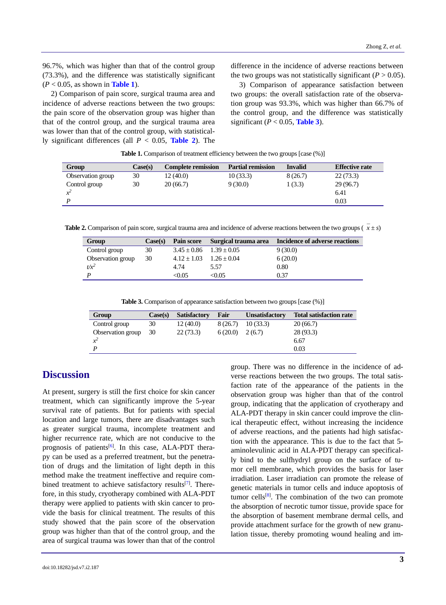96.7%, which was higher than that of the control group (73.3%), and the difference was statistically significant (*P* < 0.05, as shown in **Table 1**).

2) Comparison of pain score, surgical trauma area and incidence of adverse reactions between the two groups: the pain score of the observation group was higher than that of the control group, and the surgical trauma area was lower than that of the control group, with statistically significant differences (all *P* < 0.05, **Table 2**). The difference in the incidence of adverse reactions between the two groups was not statistically significant ( $P > 0.05$ ).

3) Comparison of appearance satisfaction between two groups: the overall satisfaction rate of the observation group was 93.3%, which was higher than 66.7% of the control group, and the difference was statistically significant ( $P < 0.05$ , Table 3).

Table 1. Comparison of treatment efficiency between the two groups [case  $(\%)$ ]

| Group             | Case(s) | <b>Complete remission</b> | <b>Partial remission</b> | <b>Invalid</b> | <b>Effective rate</b> |
|-------------------|---------|---------------------------|--------------------------|----------------|-----------------------|
| Observation group | 30      | 12(40.0)                  | 10(33.3)                 | 8(26.7)        | 22(73.3)              |
| Control group     | 30      | 20(66.7)                  | 9(30.0)                  | 1 (3.3)        | 29(96.7)              |
|                   |         |                           |                          |                | 6.41                  |
|                   |         |                           |                          |                | 0.03                  |

**Table 2.** Comparison of pain score, surgical trauma area and incidence of adverse reactions between the two groups ( $\overline{x} \pm s$ )

| Group             | Case(s) | Pain score      |                 | Surgical trauma area Incidence of adverse reactions |
|-------------------|---------|-----------------|-----------------|-----------------------------------------------------|
| Control group     | 30      | $3.45 \pm 0.86$ | $1.39 \pm 0.05$ | 9(30.0)                                             |
| Observation group | 30      | $4.12 + 1.03$   | $1.26 + 0.04$   | 6(20.0)                                             |
| $t/x^2$           |         | 4.74            | 5.57            | 0.80                                                |
|                   |         | <0.05           | < 0.05          | 0.37                                                |

**Table 3.** Comparison of appearance satisfaction between two groups [case  $(\%)$ ]

| Group             | Case(s) | <b>Satisfactory</b> | Fair    | <b>Unsatisfactory</b> | <b>Total satisfaction rate</b> |
|-------------------|---------|---------------------|---------|-----------------------|--------------------------------|
| Control group     | 30      | 12(40.0)            | 8(26.7) | 10(33.3)              | 20(66.7)                       |
| Observation group | 30      | 22(73.3)            | 6(20.0) | 2(6.7)                | 28(93.3)                       |
| $x^2$             |         |                     |         |                       | 6.67                           |
|                   |         |                     |         |                       | 0.03                           |

# **Discussion**

At present, surgery is still the first choice for skin cancer treatment, which can significantly improve the 5-year survival rate of patients. But for patients with special location and large tumors, there are disadvantages such as greater surgical trauma, incomplete treatment and higher recurrence rate, which are not conducive to the prognosis of patients<sup>[6]</sup>. In this case, ALA-PDT therapy can be used as a preferred treatment, but the penetration of drugs and the limitation of light depth in this method make the treatment ineffective and require combined treatment to achieve satisfactory results<sup>[7]</sup>. Therefore, in this study, cryotherapy combined with ALA-PDT therapy were applied to patients with skin cancer to provide the basis for clinical treatment. The results of this study showed that the pain score of the observation group was higher than that of the control group, and the area of surgical trauma was lower than that of the control verse reactions between the two groups. The total satisfaction rate of the appearance of the patients in the observation group was higher than that of the control group, indicating that the application of cryotherapy and ALA-PDT therapy in skin cancer could improve the clinical therapeutic effect, without increasing the incidence of adverse reactions, and the patients had high satisfaction with the appearance. This is due to the fact that 5 aminolevulinic acid in ALA-PDT therapy can specifically bind to the sulfhydryl group on the surface of tumor cell membrane, which provides the basis for laser irradiation. Laser irradiation can promote the release of genetic materials in tumor cells and induce apoptosis of tumor cells<sup>[8]</sup>. The combination of the two can promote the absorption of necrotic tumor tissue, provide space for the absorption of basement membrane dermal cells, and provide attachment surface for the growth of new granulation tissue, thereby promoting wound healing and im-

group. There was no difference in the incidence of ad-